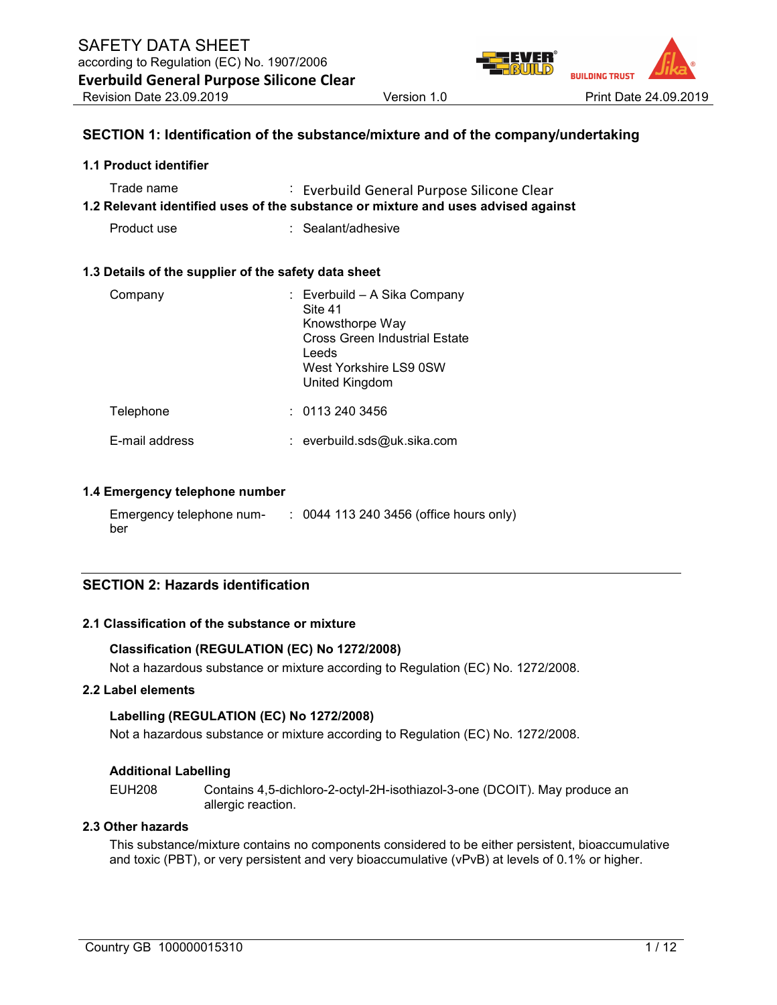

### SECTION 1: Identification of the substance/mixture and of the company/undertaking

#### 1.1 Product identifier

| Trade name | : Everbuild General Purpose Silicone Clear                                        |
|------------|-----------------------------------------------------------------------------------|
|            | 1.2 Relevant identified uses of the substance or mixture and uses advised against |

Product use : Sealant/adhesive

#### 1.3 Details of the supplier of the safety data sheet

| Company        | : Everbuild - A Sika Company<br>Site 41<br>Knowsthorpe Way<br><b>Cross Green Industrial Estate</b><br>Leeds<br>West Yorkshire LS9 0SW<br>United Kingdom |
|----------------|---------------------------------------------------------------------------------------------------------------------------------------------------------|
| Telephone      | : 01132403456                                                                                                                                           |
| E-mail address | $:$ everbuild.sds@uk.sika.com                                                                                                                           |

#### 1.4 Emergency telephone number

| Emergency telephone num- | : 0044 113 240 3456 (office hours only) |
|--------------------------|-----------------------------------------|
| ber                      |                                         |

### SECTION 2: Hazards identification

### 2.1 Classification of the substance or mixture

#### Classification (REGULATION (EC) No 1272/2008)

Not a hazardous substance or mixture according to Regulation (EC) No. 1272/2008.

#### 2.2 Label elements

#### Labelling (REGULATION (EC) No 1272/2008)

Not a hazardous substance or mixture according to Regulation (EC) No. 1272/2008.

#### Additional Labelling

EUH208 Contains 4,5-dichloro-2-octyl-2H-isothiazol-3-one (DCOIT). May produce an allergic reaction.

### 2.3 Other hazards

This substance/mixture contains no components considered to be either persistent, bioaccumulative and toxic (PBT), or very persistent and very bioaccumulative (vPvB) at levels of 0.1% or higher.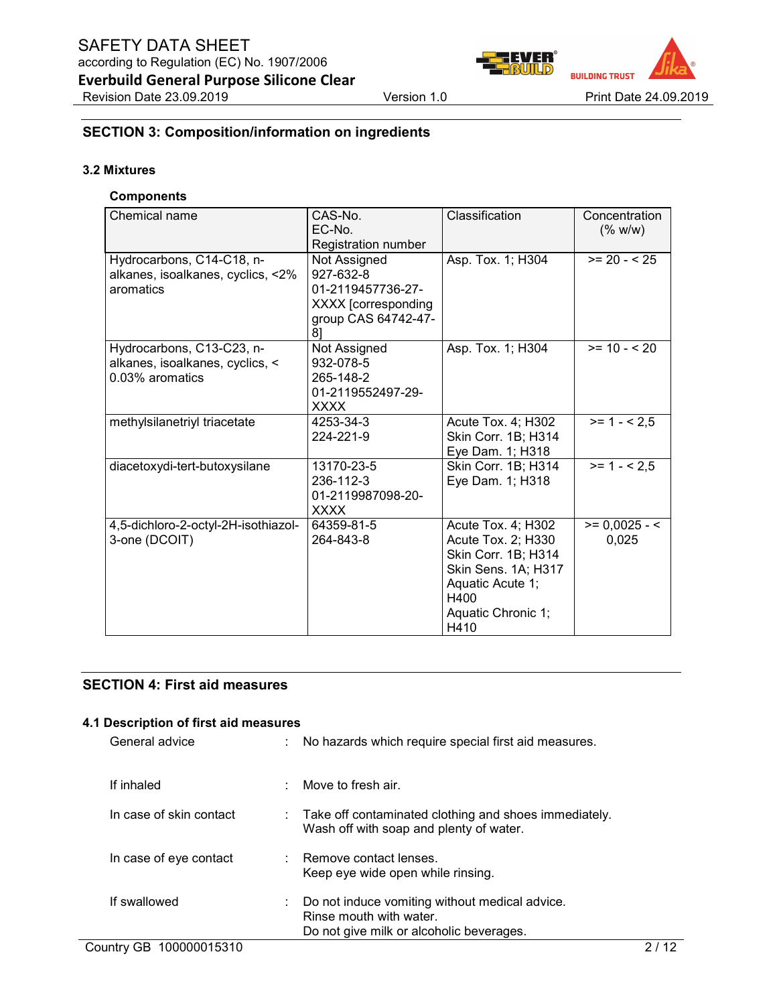

### SECTION 3: Composition/information on ingredients

### 3.2 Mixtures

### **Components**

| Chemical name                       | CAS-No.             | Classification      | Concentration   |
|-------------------------------------|---------------------|---------------------|-----------------|
|                                     | EC-No.              |                     | (% w/w)         |
|                                     | Registration number |                     |                 |
| Hydrocarbons, C14-C18, n-           | Not Assigned        | Asp. Tox. 1; H304   | $>= 20 - 525$   |
| alkanes, isoalkanes, cyclics, <2%   | 927-632-8           |                     |                 |
| aromatics                           | 01-2119457736-27-   |                     |                 |
|                                     | XXXX [corresponding |                     |                 |
|                                     | group CAS 64742-47- |                     |                 |
|                                     | 81                  |                     |                 |
| Hydrocarbons, C13-C23, n-           | Not Assigned        | Asp. Tox. 1; H304   | $>= 10 - 20$    |
| alkanes, isoalkanes, cyclics, <     | 932-078-5           |                     |                 |
| 0.03% aromatics                     | 265-148-2           |                     |                 |
|                                     | 01-2119552497-29-   |                     |                 |
|                                     | <b>XXXX</b>         |                     |                 |
| methylsilanetriyl triacetate        | 4253-34-3           | Acute Tox. 4; H302  | $>= 1 - 2.5$    |
|                                     | 224-221-9           | Skin Corr. 1B; H314 |                 |
|                                     |                     | Eye Dam. 1; H318    |                 |
| diacetoxydi-tert-butoxysilane       | 13170-23-5          | Skin Corr. 1B; H314 | $>= 1 - 2.5$    |
|                                     | 236-112-3           | Eye Dam. 1; H318    |                 |
|                                     | 01-2119987098-20-   |                     |                 |
|                                     | <b>XXXX</b>         |                     |                 |
| 4,5-dichloro-2-octyl-2H-isothiazol- | 64359-81-5          | Acute Tox. 4; H302  | $>= 0,0025 - 5$ |
| 3-one (DCOIT)                       | 264-843-8           | Acute Tox. 2; H330  | 0.025           |
|                                     |                     | Skin Corr. 1B; H314 |                 |
|                                     |                     | Skin Sens. 1A; H317 |                 |
|                                     |                     | Aquatic Acute 1;    |                 |
|                                     |                     | H400                |                 |
|                                     |                     | Aquatic Chronic 1;  |                 |
|                                     |                     | H410                |                 |

### SECTION 4: First aid measures

#### 4.1 Description of first aid measures

| General advice          | : No hazards which require special first aid measures.                                                                |
|-------------------------|-----------------------------------------------------------------------------------------------------------------------|
| If inhaled              | $\therefore$ Move to fresh air.                                                                                       |
| In case of skin contact | $\therefore$ Take off contaminated clothing and shoes immediately.<br>Wash off with soap and plenty of water.         |
| In case of eye contact  | : Remove contact lenses.<br>Keep eye wide open while rinsing.                                                         |
| If swallowed            | Do not induce vomiting without medical advice.<br>Rinse mouth with water.<br>Do not give milk or alcoholic beverages. |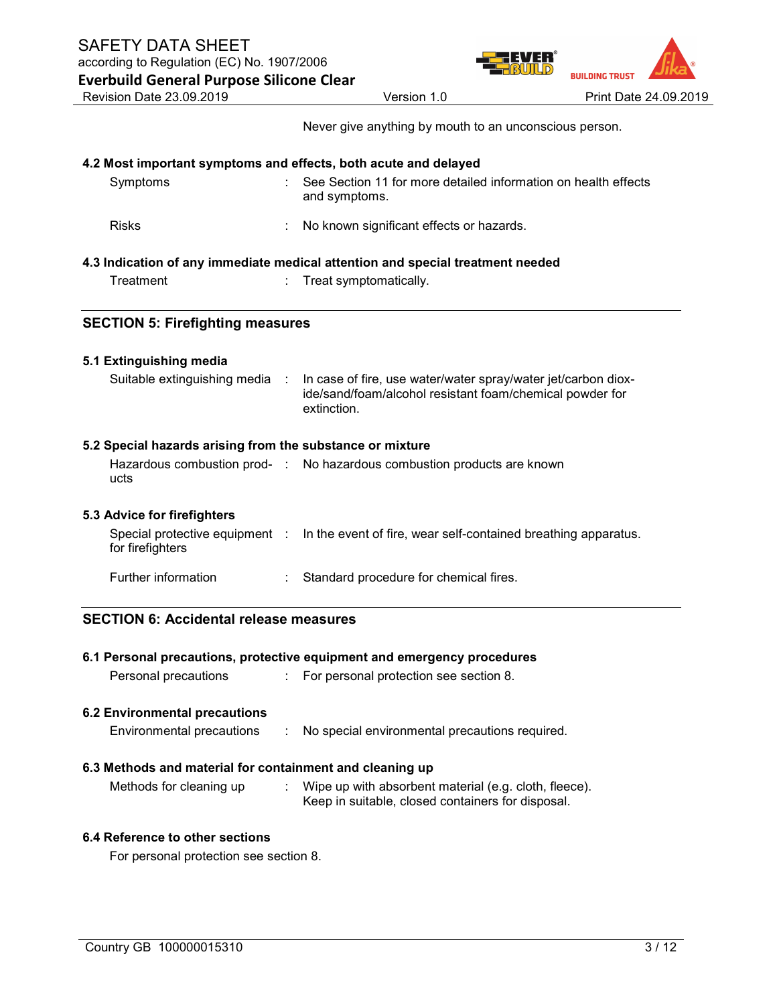according to Regulation (EC) No. 1907/2006 Everbuild General Purpose Silicone Clear



Never give anything by mouth to an unconscious person.

|  |  | 4.2 Most important symptoms and effects, both acute and delayed |  |
|--|--|-----------------------------------------------------------------|--|
|  |  |                                                                 |  |

| Symptoms                                                                       | See Section 11 for more detailed information on health effects<br>and symptoms. |  |  |  |
|--------------------------------------------------------------------------------|---------------------------------------------------------------------------------|--|--|--|
| <b>Risks</b>                                                                   | No known significant effects or hazards.                                        |  |  |  |
| 4.3 Indication of any immediate medical attention and special treatment needed |                                                                                 |  |  |  |

| Treatment |  | Treat symptomatically. |  |
|-----------|--|------------------------|--|

### SECTION 5: Firefighting measures

### 5.1 Extinguishing media

| In case of fire, use water/water spray/water jet/carbon diox-<br>Suitable extinguishing media :<br>extinction. | ide/sand/foam/alcohol resistant foam/chemical powder for |
|----------------------------------------------------------------------------------------------------------------|----------------------------------------------------------|
|----------------------------------------------------------------------------------------------------------------|----------------------------------------------------------|

### 5.2 Special hazards arising from the substance or mixture

|      | Hazardous combustion prod- : No hazardous combustion products are known |
|------|-------------------------------------------------------------------------|
| ucts |                                                                         |

### 5.3 Advice for firefighters

| for firefighters    | Special protective equipment : In the event of fire, wear self-contained breathing apparatus. |
|---------------------|-----------------------------------------------------------------------------------------------|
| Further information | Standard procedure for chemical fires.                                                        |

### SECTION 6: Accidental release measures

|                                                          | 6.1 Personal precautions, protective equipment and emergency procedures                                    |
|----------------------------------------------------------|------------------------------------------------------------------------------------------------------------|
| Personal precautions                                     | : For personal protection see section 8.                                                                   |
| <b>6.2 Environmental precautions</b>                     |                                                                                                            |
| Environmental precautions                                | No special environmental precautions required.                                                             |
| 6.3 Methods and material for containment and cleaning up |                                                                                                            |
| Methods for cleaning up                                  | Wipe up with absorbent material (e.g. cloth, fleece).<br>Keep in suitable, closed containers for disposal. |

### 6.4 Reference to other sections

For personal protection see section 8.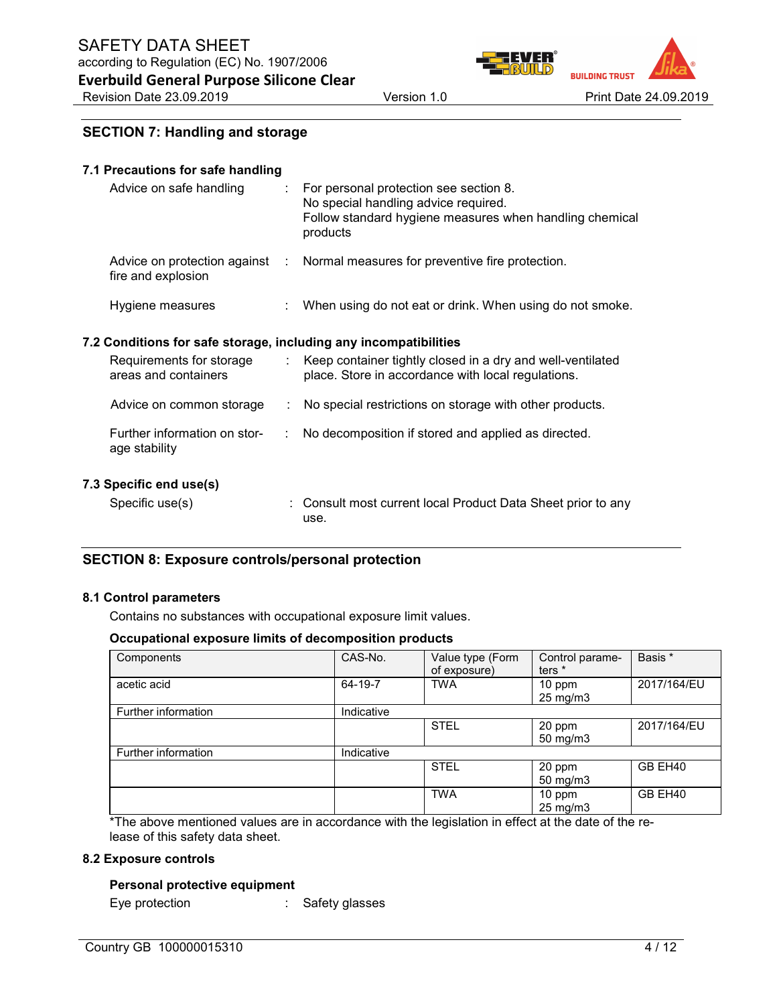

### SECTION 7: Handling and storage

### 7.1 Precautions for safe handling

| Advice on safe handling | For personal protection see section 8.<br>No special handling advice required.<br>Follow standard hygiene measures when handling chemical<br>products |
|-------------------------|-------------------------------------------------------------------------------------------------------------------------------------------------------|
| fire and explosion      | Advice on protection against : Normal measures for preventive fire protection.                                                                        |
| Hygiene measures        | When using do not eat or drink. When using do not smoke.                                                                                              |

### 7.2 Conditions for safe storage, including any incompatibilities

| Requirements for storage<br>areas and containers |    | Keep container tightly closed in a dry and well-ventilated<br>place. Store in accordance with local regulations. |
|--------------------------------------------------|----|------------------------------------------------------------------------------------------------------------------|
| Advice on common storage                         | ÷  | No special restrictions on storage with other products.                                                          |
| Further information on stor-<br>age stability    | ÷. | No decomposition if stored and applied as directed.                                                              |
| 7.3 Specific end use(s)                          |    |                                                                                                                  |
| Specific use(s)                                  |    | : Consult most current local Product Data Sheet prior to any                                                     |

### SECTION 8: Exposure controls/personal protection

#### 8.1 Control parameters

Contains no substances with occupational exposure limit values.

use.

#### Occupational exposure limits of decomposition products

| Components          | CAS-No.    | Value type (Form<br>of exposure) | Control parame-<br>ters <sup>*</sup> | Basis *     |
|---------------------|------------|----------------------------------|--------------------------------------|-------------|
| acetic acid         | 64-19-7    | <b>TWA</b>                       | 10 ppm<br>$25 \text{ mg/m}$ 3        | 2017/164/EU |
| Further information | Indicative |                                  |                                      |             |
|                     |            | <b>STEL</b>                      | 20 ppm<br>$50 \text{ mg/m}$ 3        | 2017/164/EU |
| Further information | Indicative |                                  |                                      |             |
|                     |            | <b>STEL</b>                      | 20 ppm<br>$50$ mg/m $3$              | GB EH40     |
|                     |            | <b>TWA</b>                       | 10 ppm<br>$25 \text{ mg/m}$          | GB EH40     |

\*The above mentioned values are in accordance with the legislation in effect at the date of the release of this safety data sheet.

#### 8.2 Exposure controls

#### Personal protective equipment

Eye protection : Safety glasses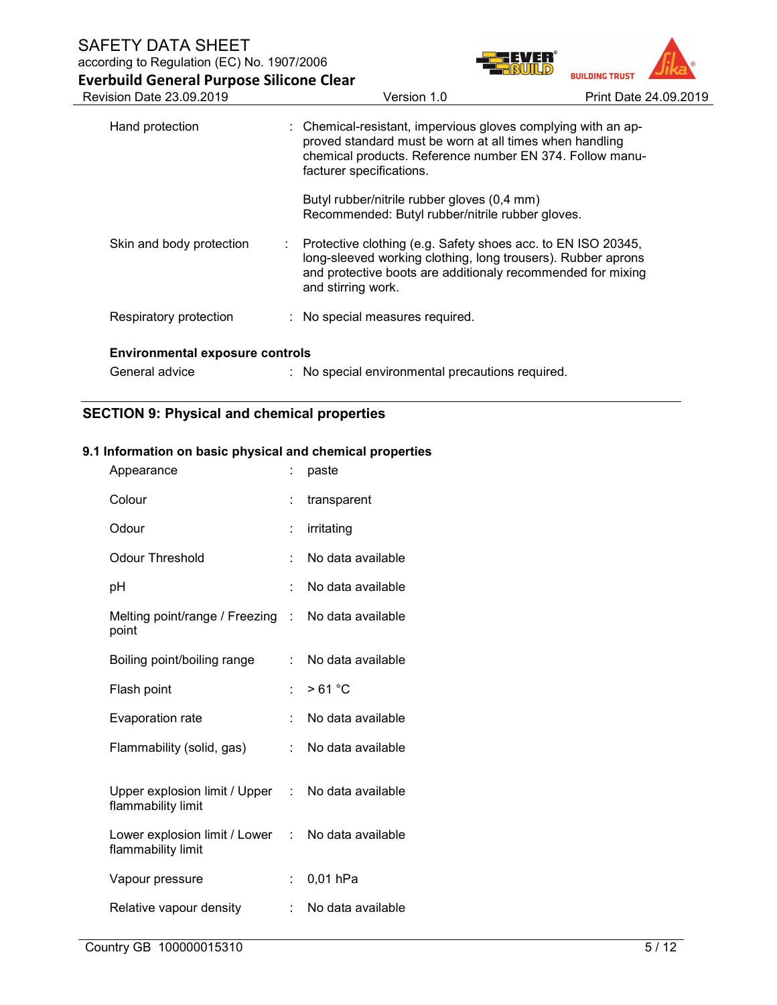| according to Regulation (EC) No. 1907/2006      |                                                                                                                                                                                                                     |                       |  |  |  |
|-------------------------------------------------|---------------------------------------------------------------------------------------------------------------------------------------------------------------------------------------------------------------------|-----------------------|--|--|--|
| <b>Everbuild General Purpose Silicone Clear</b> |                                                                                                                                                                                                                     | <b>BUILDING TRUST</b> |  |  |  |
| <b>Revision Date 23.09.2019</b>                 | Version 1.0                                                                                                                                                                                                         | Print Date 24.09.2019 |  |  |  |
| Hand protection                                 | : Chemical-resistant, impervious gloves complying with an ap-<br>proved standard must be worn at all times when handling<br>chemical products. Reference number EN 374. Follow manu-<br>facturer specifications.    |                       |  |  |  |
|                                                 | Butyl rubber/nitrile rubber gloves (0,4 mm)<br>Recommended: Butyl rubber/nitrile rubber gloves.                                                                                                                     |                       |  |  |  |
| Skin and body protection                        | : Protective clothing (e.g. Safety shoes acc. to EN ISO 20345,<br>long-sleeved working clothing, long trousers). Rubber aprons<br>and protective boots are additionaly recommended for mixing<br>and stirring work. |                       |  |  |  |
| Respiratory protection                          | : No special measures required.                                                                                                                                                                                     |                       |  |  |  |
| <b>Environmental exposure controls</b>          |                                                                                                                                                                                                                     |                       |  |  |  |
| General advice                                  | : No special environmental precautions required.                                                                                                                                                                    |                       |  |  |  |

## SECTION 9: Physical and chemical properties

### 9.1 Information on basic physical and chemical properties

| Appearance                                            |    | paste             |
|-------------------------------------------------------|----|-------------------|
| Colour                                                |    | transparent       |
| Odour                                                 | t. | irritating        |
| <b>Odour Threshold</b>                                | ÷  | No data available |
| рH                                                    | t  | No data available |
| Melting point/range / Freezing :<br>point             |    | No data available |
| Boiling point/boiling range                           | t. | No data available |
| Flash point                                           | ×. | >61 °C            |
| Evaporation rate                                      | t. | No data available |
| Flammability (solid, gas)                             | t. | No data available |
| Upper explosion limit / Upper :<br>flammability limit |    | No data available |
| Lower explosion limit / Lower :<br>flammability limit |    | No data available |
| Vapour pressure                                       | t. | $0,01$ hPa        |
| Relative vapour density                               | ÷  | No data available |
|                                                       |    |                   |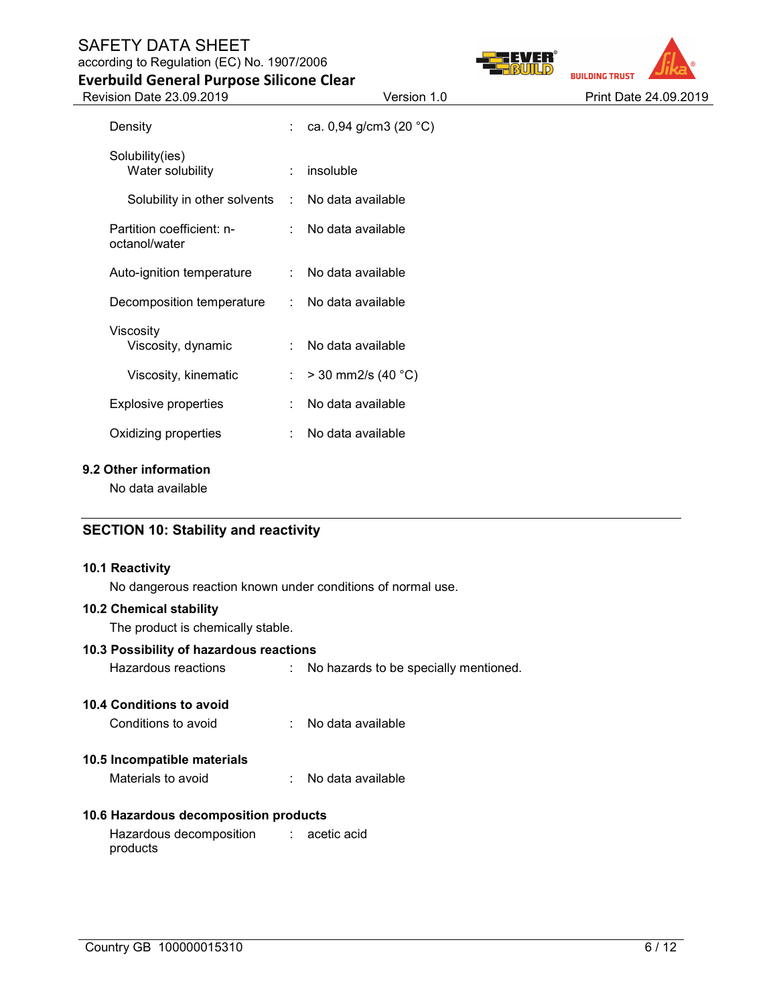### SAFETY DATA SHEET according to Regulation (EC) No. 1907/2006





| Version 1.0 |  |
|-------------|--|

Everbuild General Purpose Silicone Clear Revision Date 23.09.2019 Version 1.0 Version 1.0 Print Date 24.09.2019

| Density                                          | $\mathbb{R}^{\mathbb{Z}}$   | ca. 0,94 g/cm3 (20 $^{\circ}$ C) |
|--------------------------------------------------|-----------------------------|----------------------------------|
| Solubility(ies)<br>Water solubility              | ÷                           | insoluble                        |
| Solubility in other solvents : No data available |                             |                                  |
| Partition coefficient: n-<br>octanol/water       |                             | : No data available              |
| Auto-ignition temperature                        | $\mathcal{L}$               | No data available                |
| Decomposition temperature                        | $\mathcal{L}^{\mathcal{L}}$ | No data available                |
|                                                  |                             |                                  |
| Viscosity<br>Viscosity, dynamic                  | ÷                           | No data available                |
| Viscosity, kinematic                             | ÷.                          | $>$ 30 mm2/s (40 °C)             |
| <b>Explosive properties</b>                      | ÷.                          | No data available                |
| Oxidizing properties                             | $\sim$                      | No data available                |
|                                                  |                             |                                  |

### 9.2 Other information

No data available

### SECTION 10: Stability and reactivity

#### 10.1 Reactivity

No dangerous reaction known under conditions of normal use.

#### 10.2 Chemical stability

The product is chemically stable.

### 10.3 Possibility of hazardous reactions

Hazardous reactions : No hazards to be specially mentioned.

### 10.4 Conditions to avoid

Conditions to avoid : No data available

### 10.5 Incompatible materials

Materials to avoid : No data available

### 10.6 Hazardous decomposition products

Hazardous decomposition products : acetic acid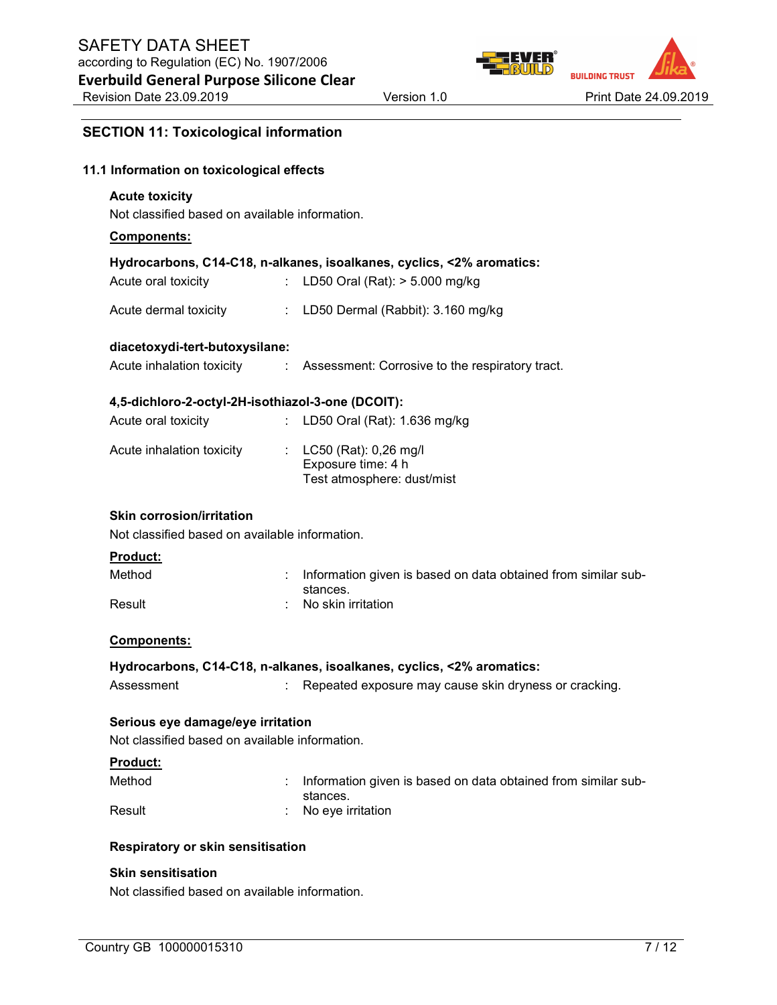

### SECTION 11: Toxicological information

### 11.1 Information on toxicological effects

#### Acute toxicity

Not classified based on available information.

#### Components:

#### Hydrocarbons, C14-C18, n-alkanes, isoalkanes, cyclics, <2% aromatics:

| Acute oral toxicity | LD50 Oral (Rat): > 5.000 mg/kg |
|---------------------|--------------------------------|

Acute dermal toxicity : LD50 Dermal (Rabbit): 3.160 mg/kg

#### diacetoxydi-tert-butoxysilane:

Acute inhalation toxicity : Assessment: Corrosive to the respiratory tract.

#### 4,5-dichloro-2-octyl-2H-isothiazol-3-one (DCOIT):

| Acute oral toxicity       | : LD50 Oral (Rat): $1.636$ mg/kg                                              |
|---------------------------|-------------------------------------------------------------------------------|
| Acute inhalation toxicity | : $LC50$ (Rat): 0,26 mg/l<br>Exposure time: 4 h<br>Test atmosphere: dust/mist |

#### Skin corrosion/irritation

Not classified based on available information.

#### Product:

| Method | : Information given is based on data obtained from similar sub-<br>stances. |
|--------|-----------------------------------------------------------------------------|
| Result | $\therefore$ No skin irritation                                             |

#### Components:

#### Hydrocarbons, C14-C18, n-alkanes, isoalkanes, cyclics, <2% aromatics:

| Assessment |  | Repeated exposure may cause skin dryness or cracking. |  |
|------------|--|-------------------------------------------------------|--|
|------------|--|-------------------------------------------------------|--|

### Serious eye damage/eye irritation

Not classified based on available information.

#### Product:

| Method | : Information given is based on data obtained from similar sub- |
|--------|-----------------------------------------------------------------|
|        | stances.                                                        |
| Result | $\therefore$ No eye irritation                                  |

#### Respiratory or skin sensitisation

### Skin sensitisation

Not classified based on available information.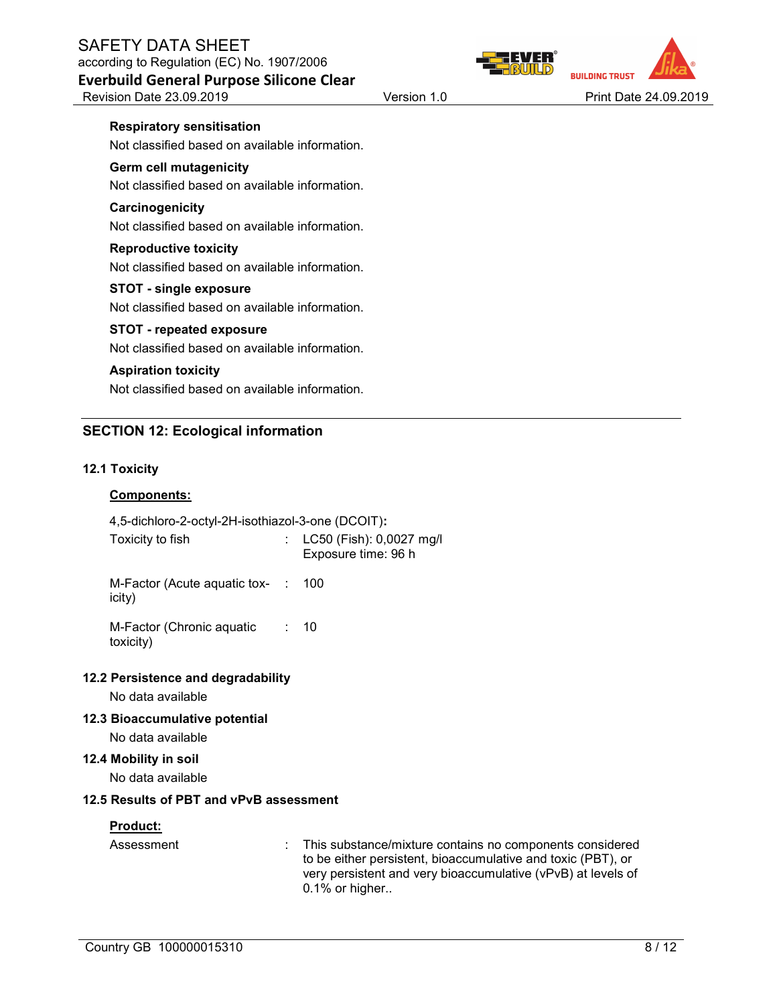Revision Date 23.09.2019 Version 1.0 Version 1.0 Print Date 24.09.2019

#### Respiratory sensitisation

Not classified based on available information.

### Germ cell mutagenicity

Not classified based on available information.

### **Carcinogenicity**

Not classified based on available information.

#### Reproductive toxicity

Not classified based on available information.

#### STOT - single exposure

Not classified based on available information.

### STOT - repeated exposure

Not classified based on available information.

### Aspiration toxicity

Not classified based on available information.

### SECTION 12: Ecological information

### 12.1 Toxicity

### Components:

| 4,5-dichloro-2-octyl-2H-isothiazol-3-one (DCOIT): |  |                                                 |
|---------------------------------------------------|--|-------------------------------------------------|
| Toxicity to fish                                  |  | LC50 (Fish): 0,0027 mg/l<br>Exposure time: 96 h |
| M-Factor (Acute aguatic tox- :<br>icity)          |  | 100                                             |
| M-Factor (Chronic aquatic<br>toxicity)            |  | : 10                                            |
| 12.2 Persistence and degradability                |  |                                                 |
| No data available                                 |  |                                                 |
| 12.3 Bioaccumulative potential                    |  |                                                 |

No data available

#### 12.4 Mobility in soil

No data available

### 12.5 Results of PBT and vPvB assessment

### Product:

| Assessment | : This substance/mixture contains no components considered   |
|------------|--------------------------------------------------------------|
|            | to be either persistent, bioaccumulative and toxic (PBT), or |
|            | very persistent and very bioaccumulative (vPvB) at levels of |
|            | $0.1\%$ or higher                                            |



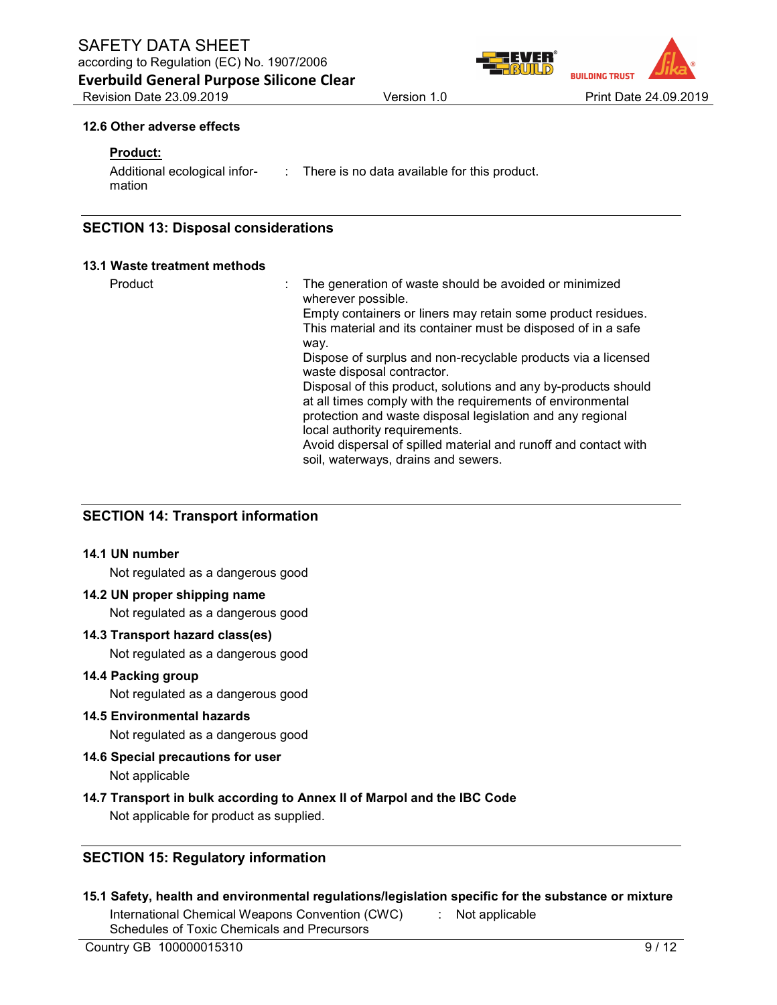Everbuild General Purpose Silicone Clear

**BUILDING TRUS** Revision Date 23.09.2019 Version 1.0 Print Date 24.09.2019

#### 12.6 Other adverse effects

### Product:

| Additional ecological infor- | : There is no data available for this product. |
|------------------------------|------------------------------------------------|
| mation                       |                                                |

### SECTION 13: Disposal considerations

#### 13.1 Waste treatment methods

Product *Example 2* The generation of waste should be avoided or minimized wherever possible. Empty containers or liners may retain some product residues. This material and its container must be disposed of in a safe way. Dispose of surplus and non-recyclable products via a licensed waste disposal contractor. Disposal of this product, solutions and any by-products should at all times comply with the requirements of environmental protection and waste disposal legislation and any regional local authority requirements. Avoid dispersal of spilled material and runoff and contact with soil, waterways, drains and sewers.

### SECTION 14: Transport information

#### 14.1 UN number

Not regulated as a dangerous good

### 14.2 UN proper shipping name

Not regulated as a dangerous good

#### 14.3 Transport hazard class(es)

Not regulated as a dangerous good

#### 14.4 Packing group

Not regulated as a dangerous good

### 14.5 Environmental hazards

Not regulated as a dangerous good

#### 14.6 Special precautions for user

Not applicable

### 14.7 Transport in bulk according to Annex II of Marpol and the IBC Code

Not applicable for product as supplied.

### SECTION 15: Regulatory information

15.1 Safety, health and environmental regulations/legislation specific for the substance or mixture

International Chemical Weapons Convention (CWC) Schedules of Toxic Chemicals and Precursors

Not applicable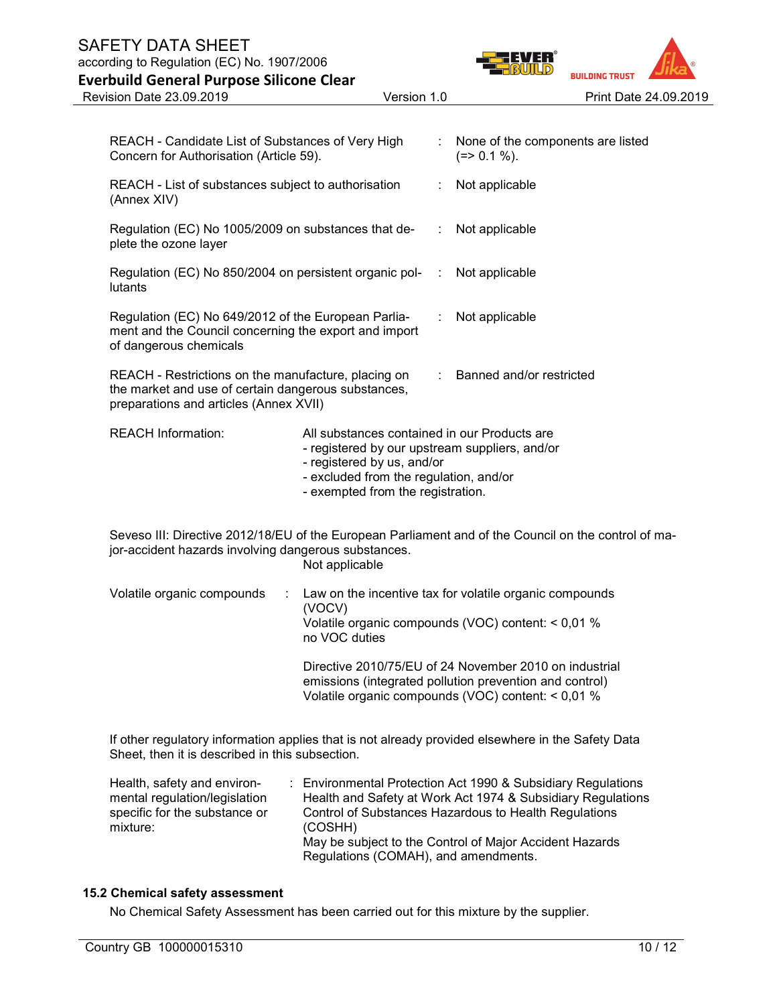# SAFETY DATA SHEET

according to Regulation (EC) No. 1907/2006

| <b>Everbuild General Purpose Silicone Clear</b>                                                                                                              |                                                                                                                                                                                                             |                                                   | <b>BUILDING TRUST</b> |                       |
|--------------------------------------------------------------------------------------------------------------------------------------------------------------|-------------------------------------------------------------------------------------------------------------------------------------------------------------------------------------------------------------|---------------------------------------------------|-----------------------|-----------------------|
| Revision Date 23.09.2019                                                                                                                                     | Version 1.0                                                                                                                                                                                                 |                                                   |                       | Print Date 24.09.2019 |
| REACH - Candidate List of Substances of Very High<br>Concern for Authorisation (Article 59).                                                                 |                                                                                                                                                                                                             | None of the components are listed<br>$(=>0.1\%).$ |                       |                       |
| REACH - List of substances subject to authorisation<br>(Annex XIV)                                                                                           |                                                                                                                                                                                                             | Not applicable                                    |                       |                       |
| Regulation (EC) No 1005/2009 on substances that de-<br>plete the ozone layer                                                                                 |                                                                                                                                                                                                             | Not applicable                                    |                       |                       |
| Regulation (EC) No 850/2004 on persistent organic pol-<br>lutants                                                                                            |                                                                                                                                                                                                             | Not applicable                                    |                       |                       |
| Regulation (EC) No 649/2012 of the European Parlia-<br>ment and the Council concerning the export and import<br>of dangerous chemicals                       |                                                                                                                                                                                                             | Not applicable                                    |                       |                       |
| REACH - Restrictions on the manufacture, placing on<br>the market and use of certain dangerous substances,<br>preparations and articles (Annex XVII)         |                                                                                                                                                                                                             | Banned and/or restricted                          |                       |                       |
| <b>REACH Information:</b>                                                                                                                                    | All substances contained in our Products are<br>- registered by our upstream suppliers, and/or<br>- registered by us, and/or<br>- excluded from the regulation, and/or<br>- exempted from the registration. |                                                   |                       |                       |
| Seveso III: Directive 2012/18/EU of the European Parliament and of the Council on the control of ma-<br>jor-accident hazards involving dangerous substances. | Not applicable                                                                                                                                                                                              |                                                   |                       |                       |
| Volatile organic compounds<br>÷                                                                                                                              | Law on the incentive tax for volatile organic compounds<br>(VOCV)<br>Volatile organic compounds (VOC) content: < 0,01 %<br>no VOC duties                                                                    |                                                   |                       |                       |
|                                                                                                                                                              | Directive 2010/75/EU of 24 November 2010 on industrial<br>emissions (integrated pollution prevention and control)<br>Volatile organic compounds (VOC) content: < 0,01 %                                     |                                                   |                       |                       |

If other regulatory information applies that is not already provided elsewhere in the Safety Data Sheet, then it is described in this subsection.

| Health, safety and environ-   | : Environmental Protection Act 1990 & Subsidiary Regulations                                    |
|-------------------------------|-------------------------------------------------------------------------------------------------|
| mental regulation/legislation | Health and Safety at Work Act 1974 & Subsidiary Regulations                                     |
| specific for the substance or | Control of Substances Hazardous to Health Regulations                                           |
| mixture:                      | (COSHH)                                                                                         |
|                               | May be subject to the Control of Major Accident Hazards<br>Regulations (COMAH), and amendments. |

### 15.2 Chemical safety assessment

No Chemical Safety Assessment has been carried out for this mixture by the supplier.

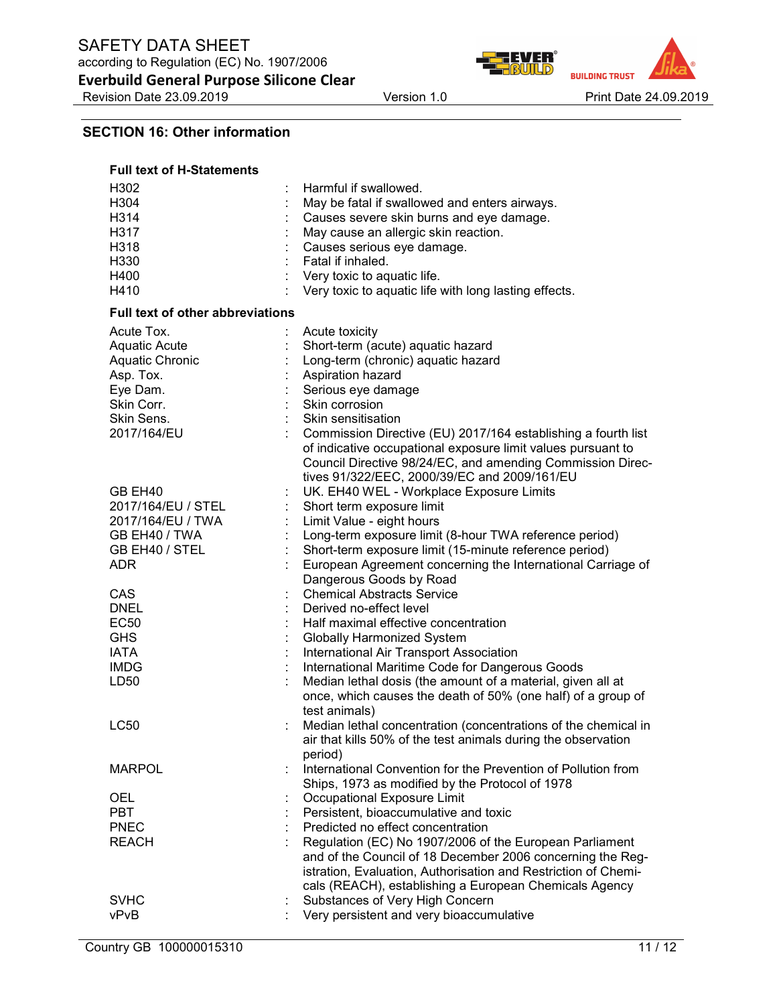Revision Date 23.09.2019 Version 1.0 Version 1.0 Print Date 24.09.2019

ER® **BUILDING TRUST** 

### SECTION 16: Other information

| <b>Full text of H-Statements</b>                                                                                                 |                                                                                                                                                                                                                                                                                                                                                                             |
|----------------------------------------------------------------------------------------------------------------------------------|-----------------------------------------------------------------------------------------------------------------------------------------------------------------------------------------------------------------------------------------------------------------------------------------------------------------------------------------------------------------------------|
| H302<br>H304<br>H314<br>H317<br>H318<br>H330<br>H400<br>H410                                                                     | Harmful if swallowed.<br>May be fatal if swallowed and enters airways.<br>Causes severe skin burns and eye damage.<br>May cause an allergic skin reaction.<br>Causes serious eye damage.<br>Fatal if inhaled.<br>: Very toxic to aquatic life.<br>Very toxic to aquatic life with long lasting effects.                                                                     |
| <b>Full text of other abbreviations</b>                                                                                          |                                                                                                                                                                                                                                                                                                                                                                             |
| Acute Tox.<br><b>Aquatic Acute</b><br><b>Aquatic Chronic</b><br>Asp. Tox.<br>Eye Dam.<br>Skin Corr.<br>Skin Sens.<br>2017/164/EU | Acute toxicity<br>Short-term (acute) aquatic hazard<br>Long-term (chronic) aquatic hazard<br>Aspiration hazard<br>Serious eye damage<br>Skin corrosion<br>Skin sensitisation<br>Commission Directive (EU) 2017/164 establishing a fourth list<br>of indicative occupational exposure limit values pursuant to<br>Council Directive 98/24/EC, and amending Commission Direc- |
| GB EH40<br>2017/164/EU / STEL<br>2017/164/EU / TWA<br>GB EH40 / TWA<br>GB EH40 / STEL<br><b>ADR</b>                              | tives 91/322/EEC, 2000/39/EC and 2009/161/EU<br>UK. EH40 WEL - Workplace Exposure Limits<br>Short term exposure limit<br>Limit Value - eight hours<br>Long-term exposure limit (8-hour TWA reference period)<br>Short-term exposure limit (15-minute reference period)<br>European Agreement concerning the International Carriage of                                       |
| CAS<br><b>DNEL</b><br><b>EC50</b><br><b>GHS</b><br><b>IATA</b>                                                                   | Dangerous Goods by Road<br><b>Chemical Abstracts Service</b><br>Derived no-effect level<br>Half maximal effective concentration<br>Globally Harmonized System<br>International Air Transport Association                                                                                                                                                                    |
| <b>IMDG</b><br>LD <sub>50</sub>                                                                                                  | International Maritime Code for Dangerous Goods<br>Median lethal dosis (the amount of a material, given all at<br>once, which causes the death of 50% (one half) of a group of<br>test animals)                                                                                                                                                                             |
| LC50                                                                                                                             | Median lethal concentration (concentrations of the chemical in<br>air that kills 50% of the test animals during the observation<br>period)                                                                                                                                                                                                                                  |
| <b>MARPOL</b>                                                                                                                    | International Convention for the Prevention of Pollution from<br>Ships, 1973 as modified by the Protocol of 1978                                                                                                                                                                                                                                                            |
| <b>OEL</b><br><b>PBT</b><br><b>PNEC</b><br><b>REACH</b>                                                                          | Occupational Exposure Limit<br>Persistent, bioaccumulative and toxic<br>Predicted no effect concentration<br>Regulation (EC) No 1907/2006 of the European Parliament<br>and of the Council of 18 December 2006 concerning the Reg-<br>istration, Evaluation, Authorisation and Restriction of Chemi-<br>cals (REACH), establishing a European Chemicals Agency              |
| <b>SVHC</b><br>vPvB                                                                                                              | Substances of Very High Concern<br>Very persistent and very bioaccumulative                                                                                                                                                                                                                                                                                                 |